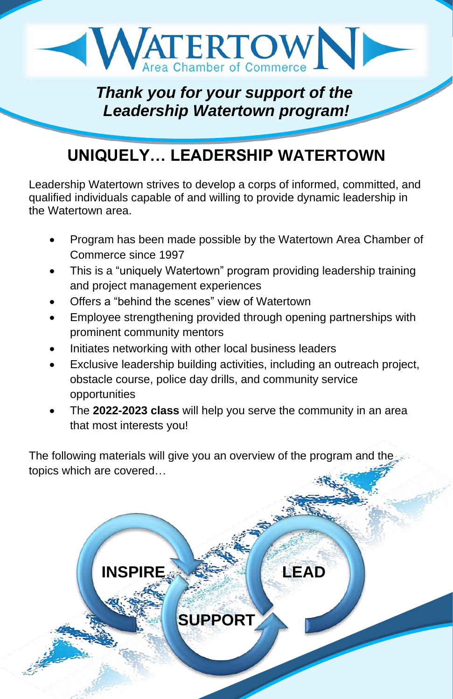

### *Thank you for your support of the Leadership Watertown program!*

## **UNIQUELY… LEADERSHIP WATERTOWN**

Leadership Watertown strives to develop a corps of informed, committed, and qualified individuals capable of and willing to provide dynamic leadership in the Watertown area.

- Program has been made possible by the Watertown Area Chamber of Commerce since 1997
- This is a "uniquely Watertown" program providing leadership training and project management experiences
- Offers a "behind the scenes" view of Watertown

**INSPIRE**

- Employee strengthening provided through opening partnerships with prominent community mentors
- Initiates networking with other local business leaders
- Exclusive leadership building activities, including an outreach project, obstacle course, police day drills, and community service opportunities
- The **2022-2023 class** will help you serve the community in an area that most interests you!

The following materials will give you an overview of the program and the topics which are covered…

**SUPPORT**

**LEAD**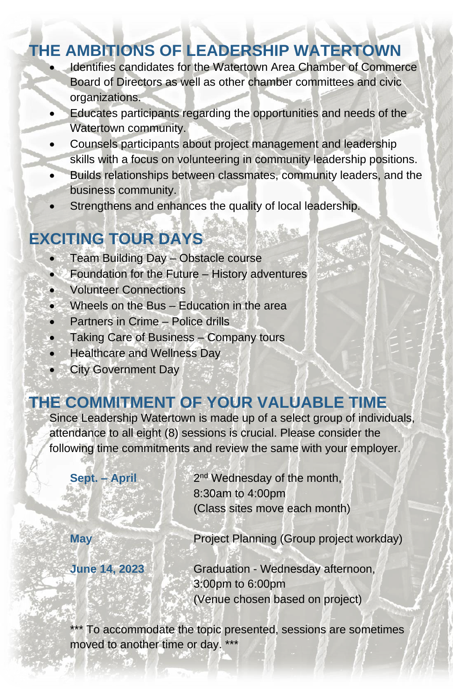### **THE AMBITIONS OF LEADERSHIP WATERTOWN**

- Identifies candidates for the Watertown Area Chamber of Commerce Board of Directors as well as other chamber committees and civic organizations.
- Educates participants regarding the opportunities and needs of the Watertown community.
- Counsels participants about project management and leadership skills with a focus on volunteering in community leadership positions.
- Builds relationships between classmates, community leaders, and the business community.
- Strengthens and enhances the quality of local leadership.

# **EXCITING TOUR DAYS**

- Team Building Day Obstacle course
- Foundation for the Future History adventures
- Volunteer Connections
- Wheels on the Bus Education in the area
- Partners in Crime Police drills
- Taking Care of Business Company tours
- Healthcare and Wellness Day
- City Government Day

## **THE COMMITMENT OF YOUR VALUABLE TIME**

Since Leadership Watertown is made up of a select group of individuals, attendance to all eight (8) sessions is crucial. Please consider the following time commitments and review the same with your employer.

**Sept. – April** 2<sup>nd</sup> Wednesday of the month, 8:30am to 4:00pm (Class sites move each month) **May May Project Planning (Group project workday) June 14, 2023** Graduation - Wednesday afternoon, 3:00pm to 6:00pm (Venue chosen based on project)

\*\*\* To accommodate the topic presented, sessions are sometimes moved to another time or day. \*\*\*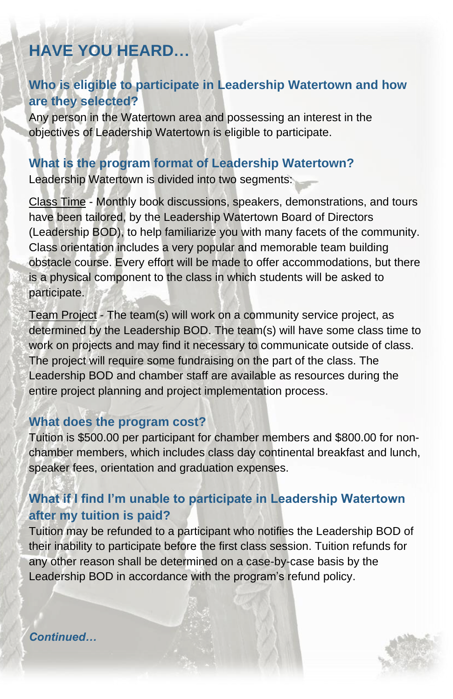# **HAVE YOU HEARD…**

#### **Who is eligible to participate in Leadership Watertown and how are they selected?**

Any person in the Watertown area and possessing an interest in the objectives of Leadership Watertown is eligible to participate.

#### **What is the program format of Leadership Watertown?**

Leadership Watertown is divided into two segments:

Class Time - Monthly book discussions, speakers, demonstrations, and tours have been tailored, by the Leadership Watertown Board of Directors (Leadership BOD), to help familiarize you with many facets of the community. Class orientation includes a very popular and memorable team building obstacle course. Every effort will be made to offer accommodations, but there is a physical component to the class in which students will be asked to participate.

Team Project - The team(s) will work on a community service project, as determined by the Leadership BOD. The team(s) will have some class time to work on projects and may find it necessary to communicate outside of class. The project will require some fundraising on the part of the class. The Leadership BOD and chamber staff are available as resources during the entire project planning and project implementation process.

#### **What does the program cost?**

Tuition is \$500.00 per participant for chamber members and \$800.00 for nonchamber members, which includes class day continental breakfast and lunch, speaker fees, orientation and graduation expenses.

#### **What if I find I'm unable to participate in Leadership Watertown after my tuition is paid?**

Tuition may be refunded to a participant who notifies the Leadership BOD of their inability to participate before the first class session. Tuition refunds for any other reason shall be determined on a case-by-case basis by the Leadership BOD in accordance with the program's refund policy.

*Continued…*